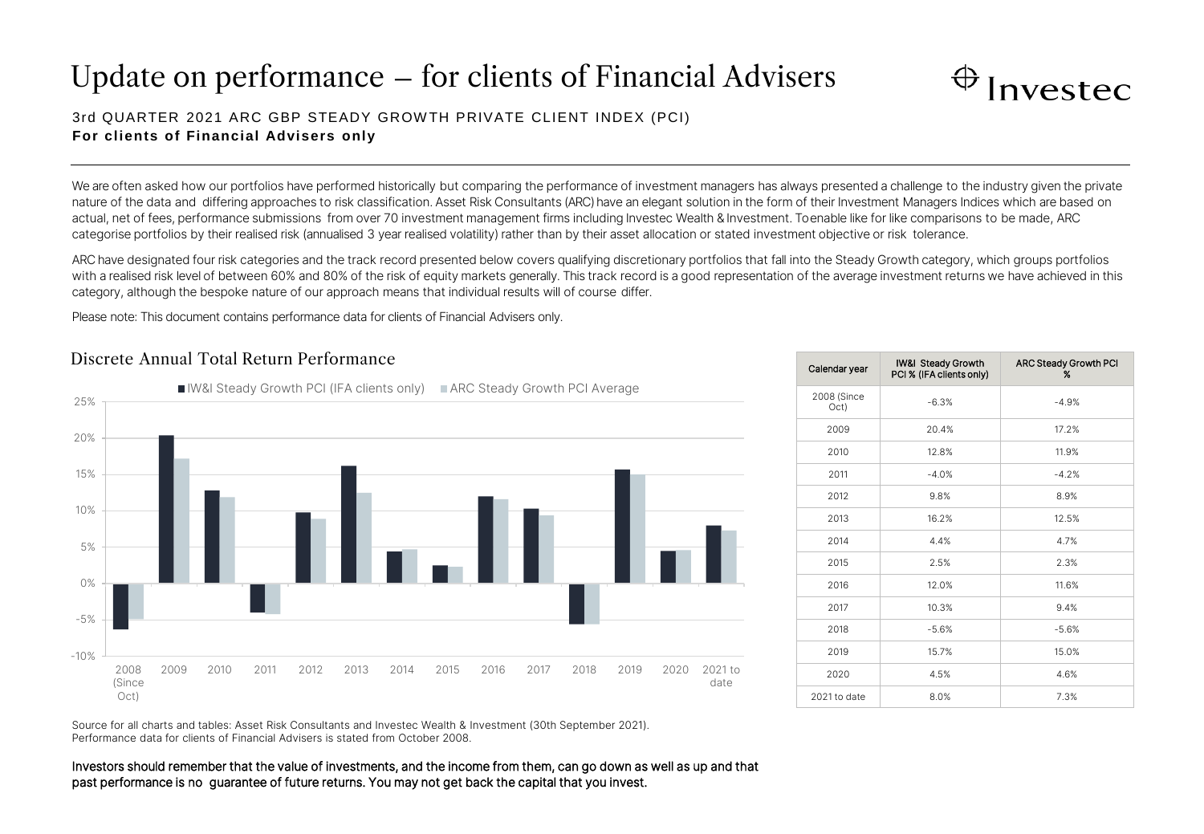# Update on performance – for clients of Financial Advisers



## 3rd QUARTER 2021 ARC GBP STEADY GROW TH PRIVATE CLIENT INDEX (PCI) **For clients of Financial Advisers only**

We are often asked how our portfolios have performed historically but comparing the performance of investment managers has always presented a challenge to the industry given the private nature of the data and differing approaches to risk classification. Asset Risk Consultants (ARC) have an elegant solution in the form of their Investment Managers Indices which are based on actual, net of fees, performance submissions from over 70 investment management firms including Investec Wealth & Investment. To enable like for like comparisons to be made, ARC categorise portfolios by their realised risk (annualised 3 year realised volatility) rather than by their asset allocation or stated investment objective or risk tolerance.

ARC have designated four risk categories and the track record presented below covers qualifying discretionary portfolios that fall into the Steady Growth category, which groups portfolios with a realised risk level of between 60% and 80% of the risk of equity markets generally. This track record is a good representation of the average investment returns we have achieved in this category, although the bespoke nature of our approach means that individual results will of course differ.

Please note: This document contains performance data for clients of Financial Advisers only.

## Discrete Annual Total Return Performance



| Calendar year       | IW&I Steady Growth<br>PCI % (IFA clients only) | <b>ARC Steady Growth PCI</b><br>$\%$ |
|---------------------|------------------------------------------------|--------------------------------------|
| 2008 (Since<br>Oct) | $-6.3%$                                        | $-4.9%$                              |
| 2009                | 20.4%                                          | 17.2%                                |
| 2010                | 12.8%                                          | 11.9%                                |
| 2011                | $-4.0%$                                        | $-4.2%$                              |
| 2012                | 9.8%                                           | 8.9%                                 |
| 2013                | 16.2%                                          | 12.5%                                |
| 2014                | 4.4%                                           | 4.7%                                 |
| 2015                | 2.5%                                           | 2.3%                                 |
| 2016                | 12.0%                                          | 11.6%                                |
| 2017                | 10.3%                                          | 9.4%                                 |
| 2018                | $-5.6%$                                        | $-5.6%$                              |
| 2019                | 15.7%                                          | 15.0%                                |
| 2020                | 4.5%                                           | 4.6%                                 |
| 2021 to date        | 8.0%                                           | 7.3%                                 |

Source for all charts and tables: Asset Risk Consultants and Investec Wealth & Investment (30th September 2021). Performance data for clients of Financial Advisers is stated from October 2008.

Investors should remember that the value of investments, and the income from them, can go down as well as up and that past performance is no guarantee of future returns. You may not get back the capital that you invest.